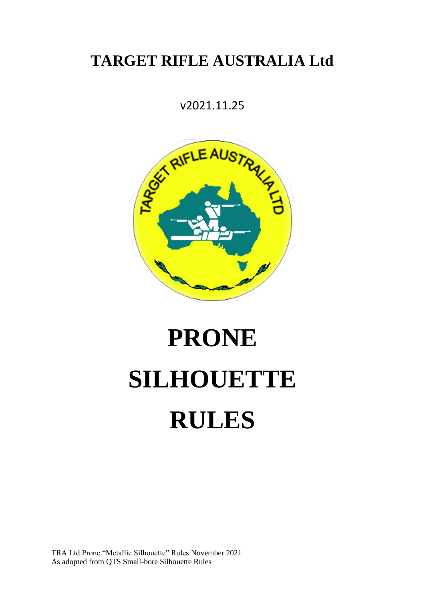# **TARGET RIFLE AUSTRALIA Ltd**

v2021.11.25



# **PRONE SILHOUETTE RULES**

TRA Ltd Prone "Metallic Silhouette" Rules November 2021 As adopted from QTS Small-bore Silhouette Rules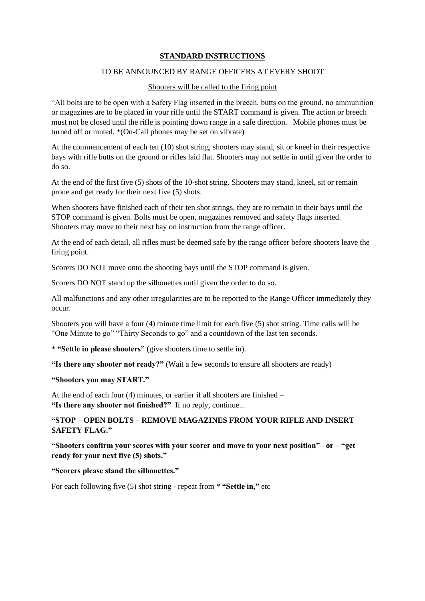#### **STANDARD INSTRUCTIONS**

#### TO BE ANNOUNCED BY RANGE OFFICERS AT EVERY SHOOT

#### Shooters will be called to the firing point

"All bolts are to be open with a Safety Flag inserted in the breech, butts on the ground, no ammunition or magazines are to be placed in your rifle until the START command is given. The action or breech must not be closed until the rifle is pointing down range in a safe direction. Mobile phones must be turned off or muted. \*(On-Call phones may be set on vibrate)

At the commencement of each ten (10) shot string, shooters may stand, sit or kneel in their respective bays with rifle butts on the ground or rifles laid flat. Shooters may not settle in until given the order to do so.

At the end of the first five (5) shots of the 10-shot string. Shooters may stand, kneel, sit or remain prone and get ready for their next five (5) shots.

When shooters have finished each of their ten shot strings, they are to remain in their bays until the STOP command is given. Bolts must be open, magazines removed and safety flags inserted. Shooters may move to their next bay on instruction from the range officer.

At the end of each detail, all rifles must be deemed safe by the range officer before shooters leave the firing point.

Scorers DO NOT move onto the shooting bays until the STOP command is given.

Scorers DO NOT stand up the silhouettes until given the order to do so.

All malfunctions and any other irregularities are to be reported to the Range Officer immediately they occur.

Shooters you will have a four (4) minute time limit for each five (5) shot string. Time calls will be "One Minute to go" "Thirty Seconds to go" and a countdown of the last ten seconds.

\* **"Settle in please shooters"** (give shooters time to settle in).

**"Is there any shooter not ready?"** (Wait a few seconds to ensure all shooters are ready)

#### **"Shooters you may START."**

At the end of each four (4) minutes, or earlier if all shooters are finished – **"Is there any shooter not finished?"** If no reply, continue...

# **"STOP – OPEN BOLTS – REMOVE MAGAZINES FROM YOUR RIFLE AND INSERT SAFETY FLAG."**

**"Shooters confirm your scores with your scorer and move to your next position"– or – "get ready for your next five (5) shots."** 

**"Scorers please stand the silhouettes."** 

For each following five (5) shot string - repeat from \* **"Settle in,"** etc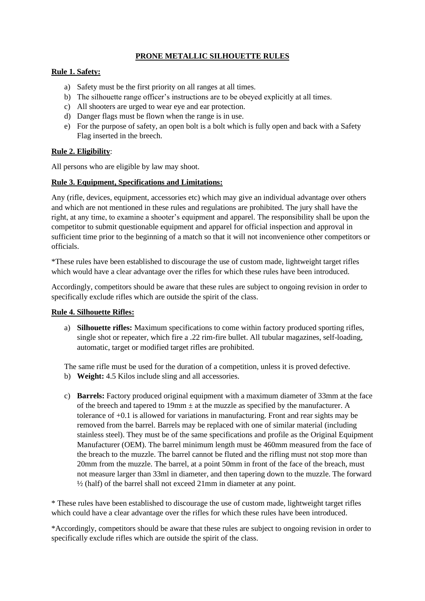# **PRONE METALLIC SILHOUETTE RULES**

#### **Rule 1. Safety:**

- a) Safety must be the first priority on all ranges at all times.
- b) The silhouette range officer's instructions are to be obeyed explicitly at all times.
- c) All shooters are urged to wear eye and ear protection.
- d) Danger flags must be flown when the range is in use.
- e) For the purpose of safety, an open bolt is a bolt which is fully open and back with a Safety Flag inserted in the breech.

#### **Rule 2. Eligibility**:

All persons who are eligible by law may shoot.

#### **Rule 3. Equipment, Specifications and Limitations:**

Any (rifle, devices, equipment, accessories etc) which may give an individual advantage over others and which are not mentioned in these rules and regulations are prohibited. The jury shall have the right, at any time, to examine a shooter's equipment and apparel. The responsibility shall be upon the competitor to submit questionable equipment and apparel for official inspection and approval in sufficient time prior to the beginning of a match so that it will not inconvenience other competitors or officials.

\*These rules have been established to discourage the use of custom made, lightweight target rifles which would have a clear advantage over the rifles for which these rules have been introduced.

Accordingly, competitors should be aware that these rules are subject to ongoing revision in order to specifically exclude rifles which are outside the spirit of the class.

#### **Rule 4. Silhouette Rifles:**

a) **Silhouette rifles:** Maximum specifications to come within factory produced sporting rifles, single shot or repeater, which fire a .22 rim-fire bullet. All tubular magazines, self-loading, automatic, target or modified target rifles are prohibited.

The same rifle must be used for the duration of a competition, unless it is proved defective.

- b) **Weight:** 4.5 Kilos include sling and all accessories.
- c) **Barrels:** Factory produced original equipment with a maximum diameter of 33mm at the face of the breech and tapered to  $19 \text{mm} \pm$  at the muzzle as specified by the manufacturer. A tolerance of +0.1 is allowed for variations in manufacturing. Front and rear sights may be removed from the barrel. Barrels may be replaced with one of similar material (including stainless steel). They must be of the same specifications and profile as the Original Equipment Manufacturer (OEM). The barrel minimum length must be 460mm measured from the face of the breach to the muzzle. The barrel cannot be fluted and the rifling must not stop more than 20mm from the muzzle. The barrel, at a point 50mm in front of the face of the breach, must not measure larger than 33ml in diameter, and then tapering down to the muzzle. The forward ½ (half) of the barrel shall not exceed 21mm in diameter at any point.

\* These rules have been established to discourage the use of custom made, lightweight target rifles which could have a clear advantage over the rifles for which these rules have been introduced.

\*Accordingly, competitors should be aware that these rules are subject to ongoing revision in order to specifically exclude rifles which are outside the spirit of the class.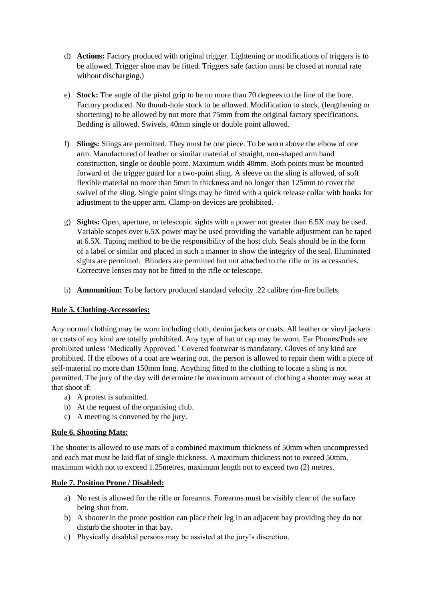- d) **Actions:** Factory produced with original trigger. Lightening or modifications of triggers is to be allowed. Trigger shoe may be fitted. Triggers safe (action must be closed at normal rate without discharging.)
- e) **Stock:** The angle of the pistol grip to be no more than 70 degrees to the line of the bore. Factory produced. No thumb-hole stock to be allowed. Modification to stock, (lengthening or shortening) to be allowed by not more that 75mm from the original factory specifications. Bedding is allowed. Swivels, 40mm single or double point allowed.
- f) **Slings:** Slings are permitted. They must be one piece. To be worn above the elbow of one arm. Manufactured of leather or similar material of straight, non-shaped arm band construction, single or double point. Maximum width 40mm. Both points must be mounted forward of the trigger guard for a two-point sling. A sleeve on the sling is allowed, of soft flexible material no more than 5mm in thickness and no longer than 125mm to cover the swivel of the sling. Single point slings may be fitted with a quick release collar with hooks for adjustment to the upper arm. Clamp-on devices are prohibited.
- g) **Sights:** Open, aperture, or telescopic sights with a power not greater than 6.5X may be used. Variable scopes over 6.5X power may be used providing the variable adjustment can be taped at 6.5X. Taping method to be the responsibility of the host club. Seals should be in the form of a label or similar and placed in such a manner to show the integrity of the seal. Illuminated sights are permitted. Blinders are permitted but not attached to the rifle or its accessories. Corrective lenses may not be fitted to the rifle or telescope.
- h) **Ammunition:** To be factory produced standard velocity .22 calibre rim-fire bullets.

#### **Rule 5. Clothing-Accessories:**

Any normal clothing may be worn including cloth, denim jackets or coats. All leather or vinyl jackets or coats of any kind are totally prohibited. Any type of hat or cap may be worn. Ear Phones/Pods are prohibited unless 'Medically Approved.' Covered footwear is mandatory. Gloves of any kind are prohibited. If the elbows of a coat are wearing out, the person is allowed to repair them with a piece of self-material no more than 150mm long. Anything fitted to the clothing to locate a sling is not permitted. The jury of the day will determine the maximum amount of clothing a shooter may wear at that shoot if:

- a) A protest is submitted.
- b) At the request of the organising club.
- c) A meeting is convened by the jury.

# **Rule 6. Shooting Mats:**

The shooter is allowed to use mats of a combined maximum thickness of 50mm when uncompressed and each mat must be laid flat of single thickness. A maximum thickness not to exceed 50mm, maximum width not to exceed 1.25metres, maximum length not to exceed two (2) metres.

#### **Rule 7. Position Prone / Disabled:**

- a) No rest is allowed for the rifle or forearms. Forearms must be visibly clear of the surface being shot from.
- b) A shooter in the prone position can place their leg in an adjacent bay providing they do not disturb the shooter in that bay.
- c) Physically disabled persons may be assisted at the jury's discretion.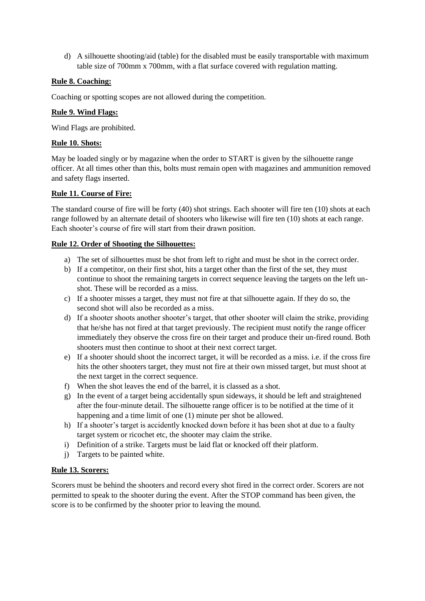d) A silhouette shooting/aid (table) for the disabled must be easily transportable with maximum table size of 700mm x 700mm, with a flat surface covered with regulation matting.

#### **Rule 8. Coaching:**

Coaching or spotting scopes are not allowed during the competition.

#### **Rule 9. Wind Flags:**

Wind Flags are prohibited.

#### **Rule 10. Shots:**

May be loaded singly or by magazine when the order to START is given by the silhouette range officer. At all times other than this, bolts must remain open with magazines and ammunition removed and safety flags inserted.

# **Rule 11. Course of Fire:**

The standard course of fire will be forty (40) shot strings. Each shooter will fire ten (10) shots at each range followed by an alternate detail of shooters who likewise will fire ten (10) shots at each range. Each shooter's course of fire will start from their drawn position.

#### **Rule 12. Order of Shooting the Silhouettes:**

- a) The set of silhouettes must be shot from left to right and must be shot in the correct order.
- b) If a competitor, on their first shot, hits a target other than the first of the set, they must continue to shoot the remaining targets in correct sequence leaving the targets on the left unshot. These will be recorded as a miss.
- c) If a shooter misses a target, they must not fire at that silhouette again. If they do so, the second shot will also be recorded as a miss.
- d) If a shooter shoots another shooter's target, that other shooter will claim the strike, providing that he/she has not fired at that target previously. The recipient must notify the range officer immediately they observe the cross fire on their target and produce their un-fired round. Both shooters must then continue to shoot at their next correct target.
- e) If a shooter should shoot the incorrect target, it will be recorded as a miss. i.e. if the cross fire hits the other shooters target, they must not fire at their own missed target, but must shoot at the next target in the correct sequence.
- f) When the shot leaves the end of the barrel, it is classed as a shot.
- g) In the event of a target being accidentally spun sideways, it should be left and straightened after the four-minute detail. The silhouette range officer is to be notified at the time of it happening and a time limit of one (1) minute per shot be allowed.
- h) If a shooter's target is accidently knocked down before it has been shot at due to a faulty target system or ricochet etc, the shooter may claim the strike.
- i) Definition of a strike. Targets must be laid flat or knocked off their platform.
- j) Targets to be painted white.

#### **Rule 13. Scorers:**

Scorers must be behind the shooters and record every shot fired in the correct order. Scorers are not permitted to speak to the shooter during the event. After the STOP command has been given, the score is to be confirmed by the shooter prior to leaving the mound.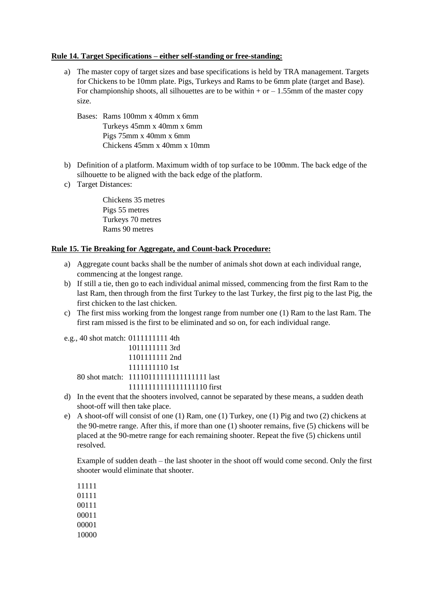#### **Rule 14. Target Specifications – either self-standing or free-standing:**

- a) The master copy of target sizes and base specifications is held by TRA management. Targets for Chickens to be 10mm plate. Pigs, Turkeys and Rams to be 6mm plate (target and Base). For championship shoots, all silhouettes are to be within  $+$  or  $-1.55$ mm of the master copy size.
	- Bases: Rams 100mm x 40mm x 6mm Turkeys 45mm x 40mm x 6mm Pigs 75mm x 40mm x 6mm Chickens 45mm x 40mm x 10mm
- b) Definition of a platform. Maximum width of top surface to be 100mm. The back edge of the silhouette to be aligned with the back edge of the platform.
- c) Target Distances:

Chickens 35 metres Pigs 55 metres Turkeys 70 metres Rams 90 metres

#### **Rule 15. Tie Breaking for Aggregate, and Count-back Procedure:**

- a) Aggregate count backs shall be the number of animals shot down at each individual range, commencing at the longest range.
- b) If still a tie, then go to each individual animal missed, commencing from the first Ram to the last Ram, then through from the first Turkey to the last Turkey, the first pig to the last Pig, the first chicken to the last chicken.
- c) The first miss working from the longest range from number one (1) Ram to the last Ram. The first ram missed is the first to be eliminated and so on, for each individual range.

| e.g., 40 shot match: 0111111111 4th |                                           |
|-------------------------------------|-------------------------------------------|
|                                     | 1011111111 3rd                            |
|                                     | 1101111111 2nd                            |
|                                     | 1111111110 1st                            |
|                                     | 80 shot match: 111101111111111111111 last |
|                                     | 1111111111111111110 first                 |

- d) In the event that the shooters involved, cannot be separated by these means, a sudden death shoot-off will then take place.
- e) A shoot-off will consist of one (1) Ram, one (1) Turkey, one (1) Pig and two (2) chickens at the 90-metre range. After this, if more than one (1) shooter remains, five (5) chickens will be placed at the 90-metre range for each remaining shooter. Repeat the five (5) chickens until resolved.

Example of sudden death – the last shooter in the shoot off would come second. Only the first shooter would eliminate that shooter.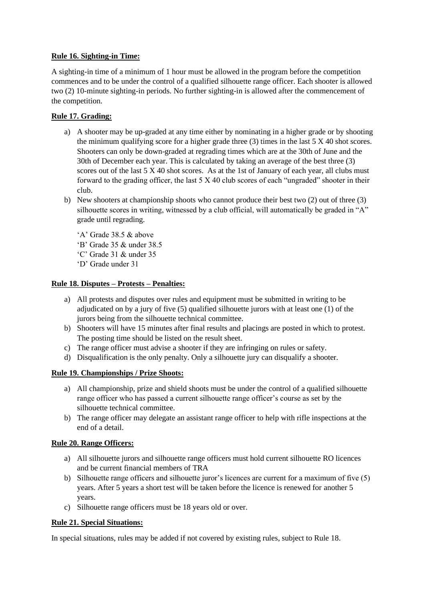#### **Rule 16. Sighting-in Time:**

A sighting-in time of a minimum of 1 hour must be allowed in the program before the competition commences and to be under the control of a qualified silhouette range officer. Each shooter is allowed two (2) 10-minute sighting-in periods. No further sighting-in is allowed after the commencement of the competition.

# **Rule 17. Grading:**

- a) A shooter may be up-graded at any time either by nominating in a higher grade or by shooting the minimum qualifying score for a higher grade three (3) times in the last 5 X 40 shot scores. Shooters can only be down-graded at regrading times which are at the 30th of June and the 30th of December each year. This is calculated by taking an average of the best three (3) scores out of the last 5 X 40 shot scores. As at the 1st of January of each year, all clubs must forward to the grading officer, the last 5 X 40 club scores of each "ungraded" shooter in their club.
- b) New shooters at championship shoots who cannot produce their best two (2) out of three (3) silhouette scores in writing, witnessed by a club official, will automatically be graded in "A" grade until regrading.
	- 'A' Grade 38.5 & above
	- 'B' Grade 35 & under 38.5
	- 'C' Grade 31 & under 35
	- 'D' Grade under 31

# **Rule 18. Disputes – Protests – Penalties:**

- a) All protests and disputes over rules and equipment must be submitted in writing to be adjudicated on by a jury of five (5) qualified silhouette jurors with at least one (1) of the jurors being from the silhouette technical committee.
- b) Shooters will have 15 minutes after final results and placings are posted in which to protest. The posting time should be listed on the result sheet.
- c) The range officer must advise a shooter if they are infringing on rules or safety.
- d) Disqualification is the only penalty. Only a silhouette jury can disqualify a shooter.

# **Rule 19. Championships / Prize Shoots:**

- a) All championship, prize and shield shoots must be under the control of a qualified silhouette range officer who has passed a current silhouette range officer's course as set by the silhouette technical committee.
- b) The range officer may delegate an assistant range officer to help with rifle inspections at the end of a detail.

#### **Rule 20. Range Officers:**

- a) All silhouette jurors and silhouette range officers must hold current silhouette RO licences and be current financial members of TRA
- b) Silhouette range officers and silhouette juror's licences are current for a maximum of five (5) years. After 5 years a short test will be taken before the licence is renewed for another 5 years.
- c) Silhouette range officers must be 18 years old or over.

#### **Rule 21. Special Situations:**

In special situations, rules may be added if not covered by existing rules, subject to Rule 18.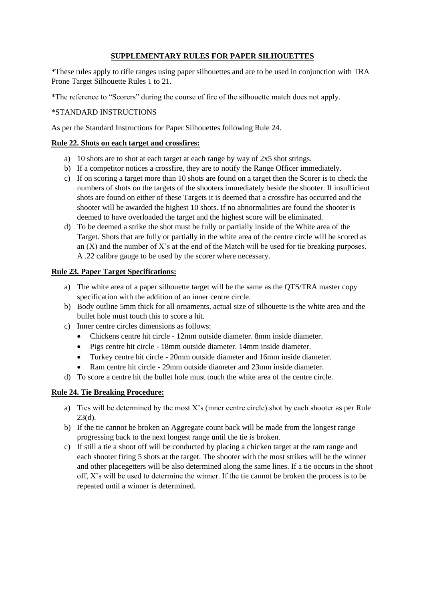# **SUPPLEMENTARY RULES FOR PAPER SILHOUETTES**

\*These rules apply to rifle ranges using paper silhouettes and are to be used in conjunction with TRA Prone Target Silhouette Rules 1 to 21.

\*The reference to "Scorers" during the course of fire of the silhouette match does not apply.

#### \*STANDARD INSTRUCTIONS

As per the Standard Instructions for Paper Silhouettes following Rule 24.

# **Rule 22. Shots on each target and crossfires:**

- a) 10 shots are to shot at each target at each range by way of 2x5 shot strings.
- b) If a competitor notices a crossfire, they are to notify the Range Officer immediately.
- c) If on scoring a target more than 10 shots are found on a target then the Scorer is to check the numbers of shots on the targets of the shooters immediately beside the shooter. If insufficient shots are found on either of these Targets it is deemed that a crossfire has occurred and the shooter will be awarded the highest 10 shots. If no abnormalities are found the shooter is deemed to have overloaded the target and the highest score will be eliminated.
- d) To be deemed a strike the shot must be fully or partially inside of the White area of the Target. Shots that are fully or partially in the white area of the centre circle will be scored as an  $(X)$  and the number of X's at the end of the Match will be used for tie breaking purposes. A .22 calibre gauge to be used by the scorer where necessary.

# **Rule 23. Paper Target Specifications:**

- a) The white area of a paper silhouette target will be the same as the QTS/TRA master copy specification with the addition of an inner centre circle.
- b) Body outline 5mm thick for all ornaments, actual size of silhouette is the white area and the bullet hole must touch this to score a hit.
- c) Inner centre circles dimensions as follows:
	- Chickens centre hit circle 12mm outside diameter. 8mm inside diameter.
	- Pigs centre hit circle 18mm outside diameter. 14mm inside diameter.
	- Turkey centre hit circle 20mm outside diameter and 16mm inside diameter.
	- Ram centre hit circle 29mm outside diameter and 23mm inside diameter.
- d) To score a centre hit the bullet hole must touch the white area of the centre circle.

#### **Rule 24. Tie Breaking Procedure:**

- a) Ties will be determined by the most X's (inner centre circle) shot by each shooter as per Rule 23(d).
- b) If the tie cannot be broken an Aggregate count back will be made from the longest range progressing back to the next longest range until the tie is broken.
- c) If still a tie a shoot off will be conducted by placing a chicken target at the ram range and each shooter firing 5 shots at the target. The shooter with the most strikes will be the winner and other placegetters will be also determined along the same lines. If a tie occurs in the shoot off, X's will be used to determine the winner. If the tie cannot be broken the process is to be repeated until a winner is determined.